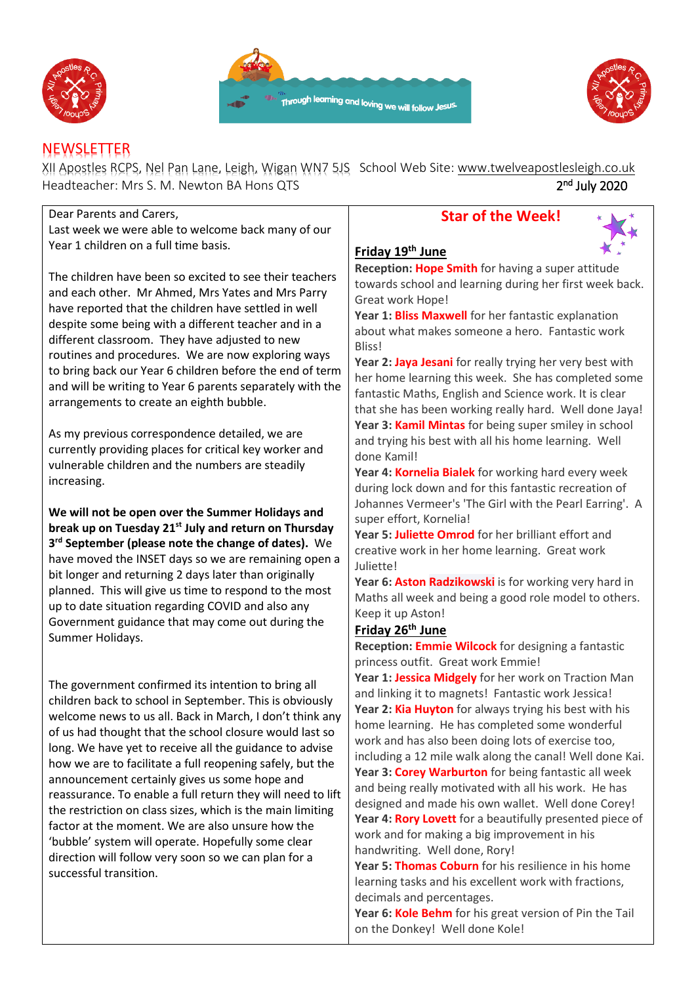





# **NEWSLETTER**

XII Apostles RCPS, Nel Pan Lane, Leigh, Wigan WN7 5JS School Web Site: [www.twelveapostlesleigh.co.uk](http://www.twelveapostlesleigh.co.uk/)  Headteacher: Mrs S. M. Newton BA Hons QTS 2 <sup>nd</sup> July 2020

| Dear Parents and Carers,                                                                                                                                                                                                                                                                                                                                                                                                                                                                                                                                                                                                                                                                                                                | <b>Star of the Week!</b>                                                                                                                                                                                                                                                                                                                                                                                                                                                                                                                                                                                                                                                                                                                                                                                  |
|-----------------------------------------------------------------------------------------------------------------------------------------------------------------------------------------------------------------------------------------------------------------------------------------------------------------------------------------------------------------------------------------------------------------------------------------------------------------------------------------------------------------------------------------------------------------------------------------------------------------------------------------------------------------------------------------------------------------------------------------|-----------------------------------------------------------------------------------------------------------------------------------------------------------------------------------------------------------------------------------------------------------------------------------------------------------------------------------------------------------------------------------------------------------------------------------------------------------------------------------------------------------------------------------------------------------------------------------------------------------------------------------------------------------------------------------------------------------------------------------------------------------------------------------------------------------|
| Last week we were able to welcome back many of our                                                                                                                                                                                                                                                                                                                                                                                                                                                                                                                                                                                                                                                                                      |                                                                                                                                                                                                                                                                                                                                                                                                                                                                                                                                                                                                                                                                                                                                                                                                           |
| Year 1 children on a full time basis.                                                                                                                                                                                                                                                                                                                                                                                                                                                                                                                                                                                                                                                                                                   | Friday 19th June                                                                                                                                                                                                                                                                                                                                                                                                                                                                                                                                                                                                                                                                                                                                                                                          |
| The children have been so excited to see their teachers<br>and each other. Mr Ahmed, Mrs Yates and Mrs Parry<br>have reported that the children have settled in well<br>despite some being with a different teacher and in a<br>different classroom. They have adjusted to new<br>routines and procedures. We are now exploring ways<br>to bring back our Year 6 children before the end of term<br>and will be writing to Year 6 parents separately with the<br>arrangements to create an eighth bubble.                                                                                                                                                                                                                               | Reception: Hope Smith for having a super attitude<br>towards school and learning during her first week back.<br>Great work Hope!<br>Year 1: Bliss Maxwell for her fantastic explanation<br>about what makes someone a hero. Fantastic work<br>Bliss!<br>Year 2: Jaya Jesani for really trying her very best with<br>her home learning this week. She has completed some<br>fantastic Maths, English and Science work. It is clear<br>that she has been working really hard. Well done Jaya!                                                                                                                                                                                                                                                                                                               |
| As my previous correspondence detailed, we are<br>currently providing places for critical key worker and<br>vulnerable children and the numbers are steadily<br>increasing.                                                                                                                                                                                                                                                                                                                                                                                                                                                                                                                                                             | Year 3: Kamil Mintas for being super smiley in school<br>and trying his best with all his home learning. Well<br>done Kamil!<br>Year 4: Kornelia Bialek for working hard every week<br>during lock down and for this fantastic recreation of                                                                                                                                                                                                                                                                                                                                                                                                                                                                                                                                                              |
| We will not be open over the Summer Holidays and<br>break up on Tuesday 21 <sup>st</sup> July and return on Thursday<br>3rd September (please note the change of dates). We<br>have moved the INSET days so we are remaining open a<br>bit longer and returning 2 days later than originally<br>planned. This will give us time to respond to the most<br>up to date situation regarding COVID and also any<br>Government guidance that may come out during the<br>Summer Holidays.                                                                                                                                                                                                                                                     | Johannes Vermeer's 'The Girl with the Pearl Earring'. A<br>super effort, Kornelia!<br>Year 5: Juliette Omrod for her brilliant effort and<br>creative work in her home learning. Great work<br>Juliette!<br>Year 6: Aston Radzikowski is for working very hard in<br>Maths all week and being a good role model to others.<br>Keep it up Aston!<br>Friday 26 <sup>th</sup> June<br>Reception: Emmie Wilcock for designing a fantastic<br>princess outfit. Great work Emmie!                                                                                                                                                                                                                                                                                                                               |
| The government confirmed its intention to bring all<br>children back to school in September. This is obviously<br>welcome news to us all. Back in March, I don't think any<br>of us had thought that the school closure would last so<br>long. We have yet to receive all the guidance to advise<br>how we are to facilitate a full reopening safely, but the<br>announcement certainly gives us some hope and<br>reassurance. To enable a full return they will need to lift<br>the restriction on class sizes, which is the main limiting<br>factor at the moment. We are also unsure how the<br>'bubble' system will operate. Hopefully some clear<br>direction will follow very soon so we can plan for a<br>successful transition. | Year 1: Jessica Midgely for her work on Traction Man<br>and linking it to magnets! Fantastic work Jessica!<br>Year 2: Kia Huyton for always trying his best with his<br>home learning. He has completed some wonderful<br>work and has also been doing lots of exercise too,<br>including a 12 mile walk along the canal! Well done Kai.<br>Year 3: Corey Warburton for being fantastic all week<br>and being really motivated with all his work. He has<br>designed and made his own wallet. Well done Corey!<br>Year 4: Rory Lovett for a beautifully presented piece of<br>work and for making a big improvement in his<br>handwriting. Well done, Rory!<br>Year 5: Thomas Coburn for his resilience in his home<br>learning tasks and his excellent work with fractions,<br>decimals and percentages. |

**Year 6: Kole Behm** for his great version of Pin the Tail on the Donkey! Well done Kole!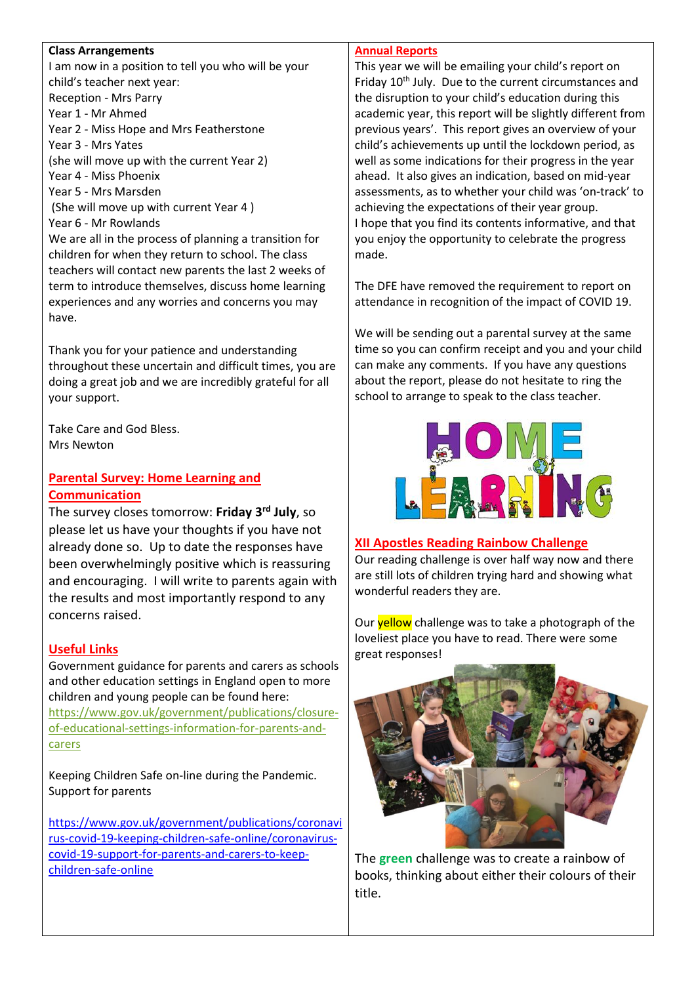#### **Class Arrangements**

I am now in a position to tell you who will be your child's teacher next year: Reception - Mrs Parry Year 1 - Mr Ahmed Year 2 - Miss Hope and Mrs Featherstone Year 3 - Mrs Yates (she will move up with the current Year 2) Year 4 - Miss Phoenix Year 5 - Mrs Marsden (She will move up with current Year 4 ) Year 6 - Mr Rowlands We are all in the process of planning a transition for children for when they return to school. The class teachers will contact new parents the last 2 weeks of term to introduce themselves, discuss home learning experiences and any worries and concerns you may have.

Thank you for your patience and understanding throughout these uncertain and difficult times, you are doing a great job and we are incredibly grateful for all your support.

Take Care and God Bless. Mrs Newton

## **Parental Survey: Home Learning and Communication**

The survey closes tomorrow: **Friday 3rd July**, so please let us have your thoughts if you have not already done so. Up to date the responses have been overwhelmingly positive which is reassuring and encouraging. I will write to parents again with the results and most importantly respond to any concerns raised.

### **Useful Links**

Government guidance for parents and carers as schools and other education settings in England open to more children and young people can be found here: [https://www.gov.uk/government/publications/closure](https://www.gov.uk/government/publications/closure-of-educational-settings-information-for-parents-and-carers)[of-educational-settings-information-for-parents-and](https://www.gov.uk/government/publications/closure-of-educational-settings-information-for-parents-and-carers)[carers](https://www.gov.uk/government/publications/closure-of-educational-settings-information-for-parents-and-carers)

Keeping Children Safe on-line during the Pandemic. Support for parents

[https://www.gov.uk/government/publications/coronavi](file://///DC01/Work$/Staff/s.newton/NEWSLETTER%202019-20/Useful%20Links) [rus-covid-19-keeping-children-safe-online/coronavirus](https://www.gov.uk/government/publications/coronavirus-covid-19-keeping-children-safe-online/coronavirus-covid-19-support-for-parents-and-carers-to-keep-children-safe-online)[covid-19-support-for-parents-and-carers-to-keep](https://www.gov.uk/government/publications/coronavirus-covid-19-keeping-children-safe-online/coronavirus-covid-19-support-for-parents-and-carers-to-keep-children-safe-online)[children-safe-online](https://www.gov.uk/government/publications/coronavirus-covid-19-keeping-children-safe-online/coronavirus-covid-19-support-for-parents-and-carers-to-keep-children-safe-online)

#### **Annual Reports**

This year we will be emailing your child's report on Friday 10<sup>th</sup> July. Due to the current circumstances and the disruption to your child's education during this academic year, this report will be slightly different from previous years'. This report gives an overview of your child's achievements up until the lockdown period, as well as some indications for their progress in the year ahead. It also gives an indication, based on mid-year assessments, as to whether your child was 'on-track' to achieving the expectations of their year group. I hope that you find its contents informative, and that you enjoy the opportunity to celebrate the progress made.

The DFE have removed the requirement to report on attendance in recognition of the impact of COVID 19.

We will be sending out a parental survey at the same time so you can confirm receipt and you and your child can make any comments. If you have any questions about the report, please do not hesitate to ring the school to arrange to speak to the class teacher.



#### **XII Apostles Reading Rainbow Challenge**

Our reading challenge is over half way now and there are still lots of children trying hard and showing what wonderful readers they are.

Our **yellow** challenge was to take a photograph of the loveliest place you have to read. There were some great responses!



The **green** challenge was to create a rainbow of books, thinking about either their colours of their title.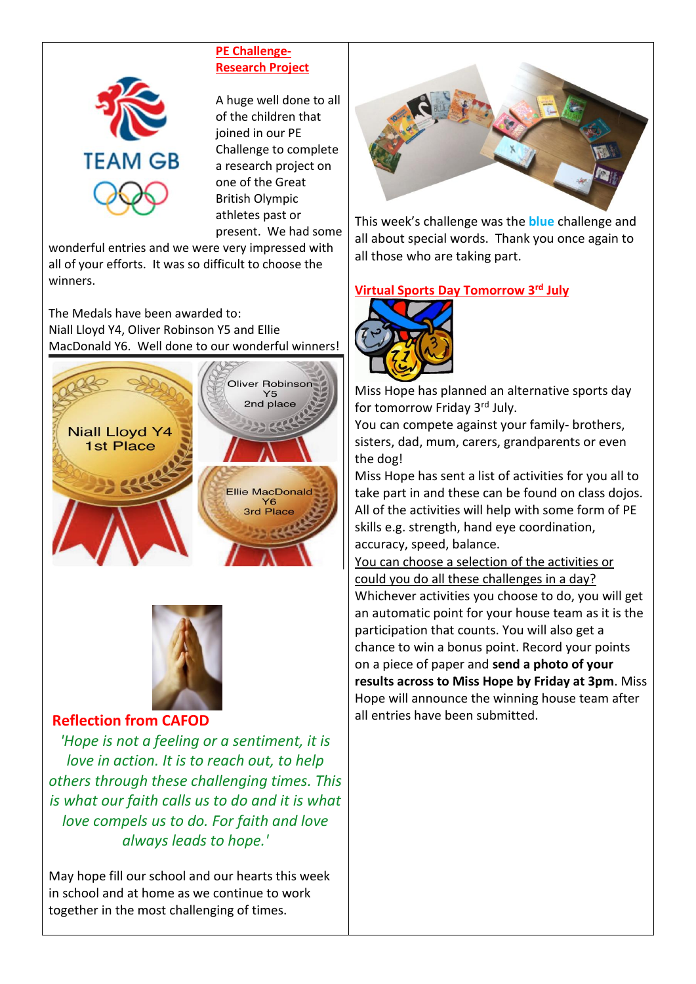

## **PE Challenge-Research Project**

A huge well done to all of the children that joined in our PE Challenge to complete a research project on one of the Great British Olympic athletes past or present. We had some

wonderful entries and we were very impressed with all of your efforts. It was so difficult to choose the winners.

The Medals have been awarded to: Niall Lloyd Y4, Oliver Robinson Y5 and Ellie MacDonald Y6. Well done to our wonderful winners!





# **Reflection from CAFOD**

*'Hope is not a feeling or a sentiment, it is love in action. It is to reach out, to help others through these challenging times. This is what our faith calls us to do and it is what love compels us to do. For faith and love always leads to hope.'*

May hope fill our school and our hearts this week in school and at home as we continue to work together in the most challenging of times.



This week's challenge was the **blue** challenge and all about special words. Thank you once again to all those who are taking part.

## **Virtual Sports Day Tomorrow 3rd July**



Miss Hope has planned an alternative sports day for tomorrow Friday 3<sup>rd</sup> July.

You can compete against your family- brothers, sisters, dad, mum, carers, grandparents or even the dog!

Miss Hope has sent a list of activities for you all to take part in and these can be found on class dojos. All of the activities will help with some form of PE skills e.g. strength, hand eye coordination, accuracy, speed, balance.

You can choose a selection of the activities or could you do all these challenges in a day? Whichever activities you choose to do, you will get an automatic point for your house team as it is the participation that counts. You will also get a chance to win a bonus point. Record your points on a piece of paper and **send a photo of your results across to Miss Hope by Friday at 3pm**. Miss Hope will announce the winning house team after all entries have been submitted.